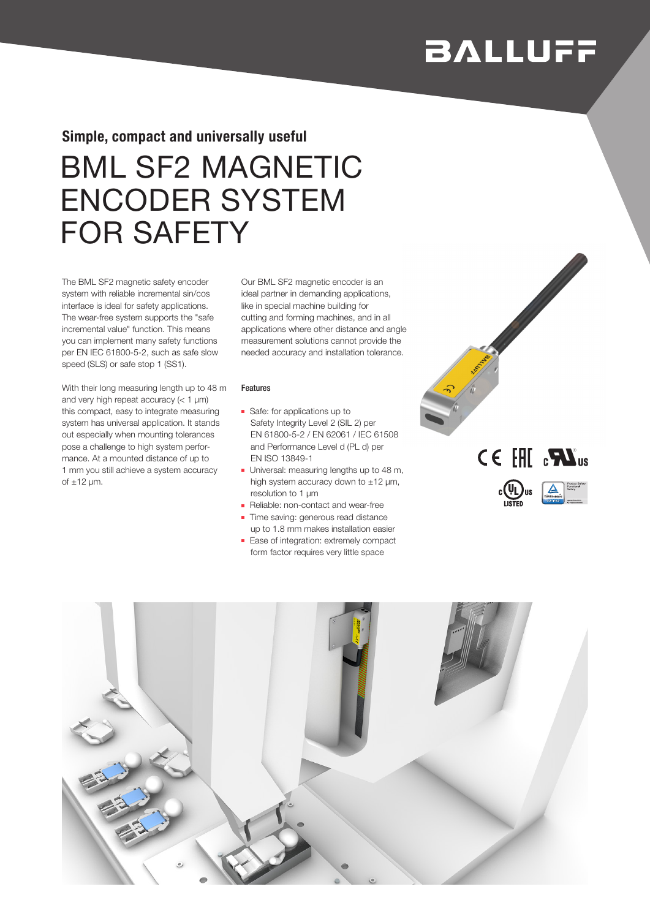# **BALLUFF**

### Simple, compact and universally useful

# BML SF2 MAGNETIC ENCODER SYSTEM FOR SAFETY

The BML SF2 magnetic safety encoder system with reliable incremental sin/cos interface is ideal for safety applications. The wear-free system supports the "safe incremental value" function. This means you can implement many safety functions per EN IEC 61800-5-2, such as safe slow speed (SLS) or safe stop 1 (SS1).

With their long measuring length up to 48 m and very high repeat accuracy  $(< 1 \mu m)$ this compact, easy to integrate measuring system has universal application. It stands out especially when mounting tolerances pose a challenge to high system performance. At a mounted distance of up to 1 mm you still achieve a system accuracy of  $\pm$ 12 µm.

Our BML SF2 magnetic encoder is an ideal partner in demanding applications, like in special machine building for cutting and forming machines, and in all applications where other distance and angle measurement solutions cannot provide the needed accuracy and installation tolerance.

### Features

- Safe: for applications up to Safety Integrity Level 2 (SIL 2) per EN 61800-5-2 / EN 62061 / IEC 61508 and Performance Level d (PL d) per EN ISO 13849-1
- Universal: measuring lengths up to 48 m, high system accuracy down to ±12 μm, resolution to 1 μm
- Reliable: non-contact and wear-free
- Time saving: generous read distance up to 1.8 mm makes installation easier
- Ease of integration: extremely compact form factor requires very little space